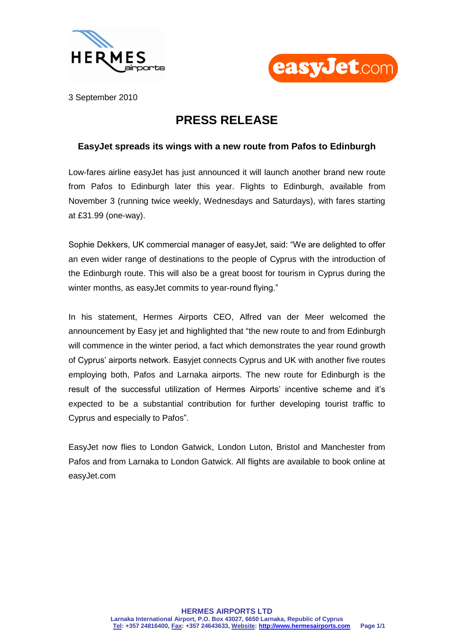



3 September 2010

## **PRESS RELEASE**

## **EasyJet spreads its wings with a new route from Pafos to Edinburgh**

Low-fares airline easyJet has just announced it will launch another brand new route from Pafos to Edinburgh later this year. Flights to Edinburgh, available from November 3 (running twice weekly, Wednesdays and Saturdays), with fares starting at £31.99 (one-way).

Sophie Dekkers, UK commercial manager of easyJet, said: "We are delighted to offer an even wider range of destinations to the people of Cyprus with the introduction of the Edinburgh route. This will also be a great boost for tourism in Cyprus during the winter months, as easyJet commits to year-round flying."

In his statement, Hermes Airports CEO, Alfred van der Meer welcomed the announcement by Easy jet and highlighted that "the new route to and from Edinburgh will commence in the winter period, a fact which demonstrates the year round growth of Cyprus' airports network. Easyjet connects Cyprus and UK with another five routes employing both, Pafos and Larnaka airports. The new route for Edinburgh is the result of the successful utilization of Hermes Airports' incentive scheme and it's expected to be a substantial contribution for further developing tourist traffic to Cyprus and especially to Pafos".

EasyJet now flies to London Gatwick, London Luton, Bristol and Manchester from Pafos and from Larnaka to London Gatwick. All flights are available to book online at easyJet.com